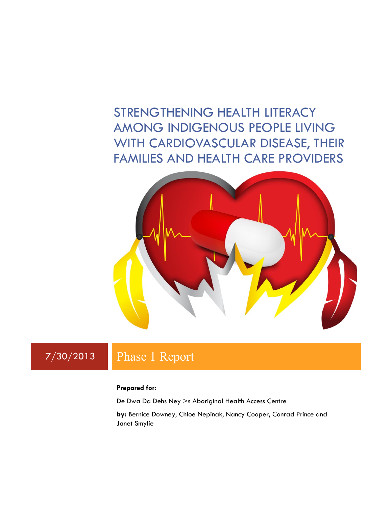# STRENGTHENING HEALTH LITERACY AMONG INDIGENOUS PEOPLE LIVING WITH CARDIOVASCULAR DISEASE, THEIR FAMILIES AND HEALTH CARE PROVIDERS



## 7/30/2013 Phase 1 Report

#### **Prepared for:**

De Dwa Da Dehs Ney >s Aboriginal Health Access Centre

**by:** Bernice Downey, Chloe Nepinak, Nancy Cooper, Conrad Prince and Janet Smylie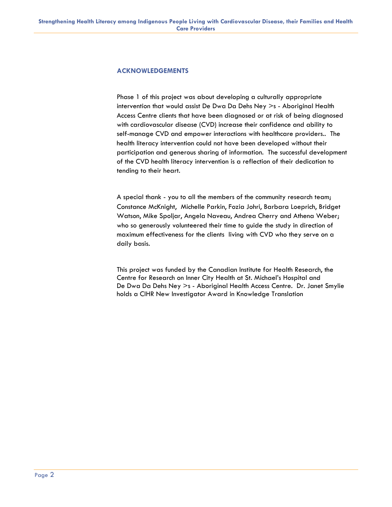#### **ACKNOWLEDGEMENTS**

Phase 1 of this project was about developing a culturally appropriate intervention that would assist De Dwa Da Dehs Ney >s - Aboriginal Health Access Centre clients that have been diagnosed or at risk of being diagnosed with cardiovascular disease (CVD) increase their confidence and ability to self-manage CVD and empower interactions with healthcare providers.. The health literacy intervention could not have been developed without their participation and generous sharing of information. The successful development of the CVD health literacy intervention is a reflection of their dedication to tending to their heart.

A special thank - you to all the members of the community research team; Constance McKnight, Michelle Parkin, Fozia Johri, Barbara Loeprich, Bridget Watson, Mike Spoljar, Angela Naveau, Andrea Cherry and Athena Weber; who so generously volunteered their time to guide the study in direction of maximum effectiveness for the clients living with CVD who they serve on a daily basis.

This project was funded by the Canadian Institute for Health Research, the Centre for Research on Inner City Health at St. Michael's Hospital and De Dwa Da Dehs Ney >s - Aboriginal Health Access Centre. Dr. Janet Smylie holds a CIHR New Investigator Award in Knowledge Translation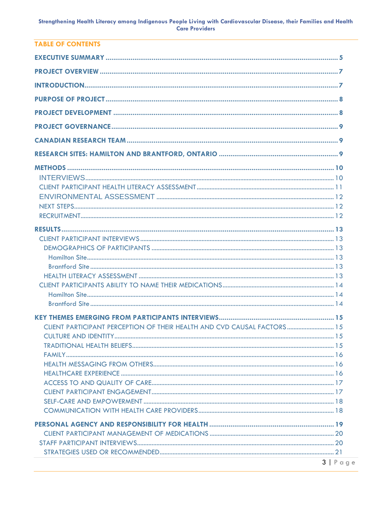| TARI E OF CONTENTS                                                       |                    |
|--------------------------------------------------------------------------|--------------------|
|                                                                          |                    |
|                                                                          |                    |
|                                                                          |                    |
|                                                                          |                    |
|                                                                          |                    |
|                                                                          |                    |
|                                                                          |                    |
|                                                                          |                    |
|                                                                          |                    |
|                                                                          |                    |
|                                                                          |                    |
|                                                                          |                    |
|                                                                          |                    |
|                                                                          |                    |
|                                                                          |                    |
|                                                                          |                    |
|                                                                          |                    |
|                                                                          |                    |
|                                                                          |                    |
|                                                                          |                    |
|                                                                          |                    |
|                                                                          |                    |
|                                                                          |                    |
|                                                                          |                    |
|                                                                          |                    |
|                                                                          |                    |
| CLIENT PARTICIPANT PERCEPTION OF THEIR HEALTH AND CVD CAUSAL FACTORS  15 |                    |
|                                                                          |                    |
|                                                                          |                    |
|                                                                          |                    |
|                                                                          |                    |
|                                                                          |                    |
|                                                                          |                    |
|                                                                          |                    |
|                                                                          |                    |
|                                                                          |                    |
|                                                                          |                    |
|                                                                          |                    |
|                                                                          |                    |
|                                                                          |                    |
|                                                                          |                    |
|                                                                          |                    |
|                                                                          | $3   P \text{age}$ |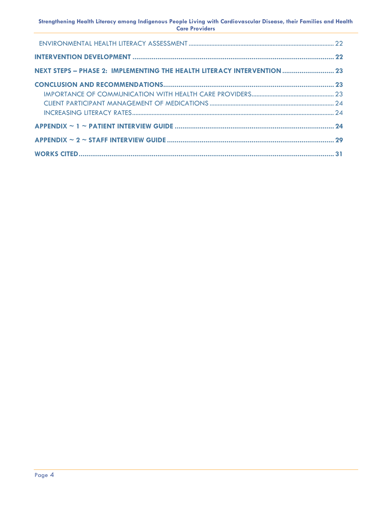**Strengthening Health Literacy among Indigenous People Living with Cardiovascular Disease, their Families and Health Care Providers**

| NEXT STEPS - PHASE 2: IMPLEMENTING THE HEALTH LITERACY INTERVENTION  23 |  |
|-------------------------------------------------------------------------|--|
|                                                                         |  |
|                                                                         |  |
|                                                                         |  |
|                                                                         |  |
|                                                                         |  |
|                                                                         |  |
|                                                                         |  |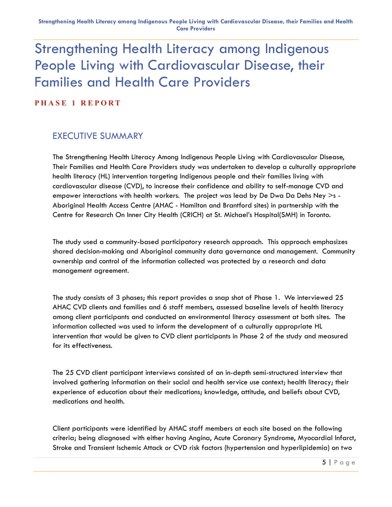# Strengthening Health Literacy among Indigenous People Living with Cardiovascular Disease, their Families and Health Care Providers

**P H A S E 1 R E P O R T**

### <span id="page-4-0"></span>EXECUTIVE SUMMARY

The Strengthening Health Literacy Among Indigenous People Living with Cardiovascular Disease, Their Families and Health Care Providers study was undertaken to develop a culturally appropriate health literacy (HL) intervention targeting Indigenous people and their families living with cardiovascular disease (CVD), to increase their confidence and ability to self-manage CVD and empower interactions with health workers. The project was lead by De Dwa Da Dehs Ney  $>$ s -Aboriginal Health Access Centre (AHAC - Hamilton and Brantford sites) in partnership with the Centre for Research On Inner City Health (CRICH) at St. Michael's Hospital(SMH) in Toronto.

The study used a community-based participatory research approach. This approach emphasizes shared decision-making and Aboriginal community data governance and management. Community ownership and control of the information collected was protected by a research and data management agreement.

The study consists of 3 phases; this report provides a snap shot of Phase 1. We interviewed 25 AHAC CVD clients and families and 6 staff members, assessed baseline levels of health literacy among client participants and conducted an environmental literacy assessment at both sites. The information collected was used to inform the development of a culturally appropriate HL intervention that would be given to CVD client participants in Phase 2 of the study and measured for its effectiveness.

The 25 CVD client participant interviews consisted of an in-depth semi-structured interview that involved gathering information on their social and health service use context; health literacy; their experience of education about their medications; knowledge, attitude, and beliefs about CVD, medications and health.

Client participants were identified by AHAC staff members at each site based on the following criteria; being diagnosed with either having Angina, Acute Coronary Syndrome, Myocardial Infarct, Stroke and Transient Ischemic Attack or CVD risk factors (hypertension and hyperlipidemia) on two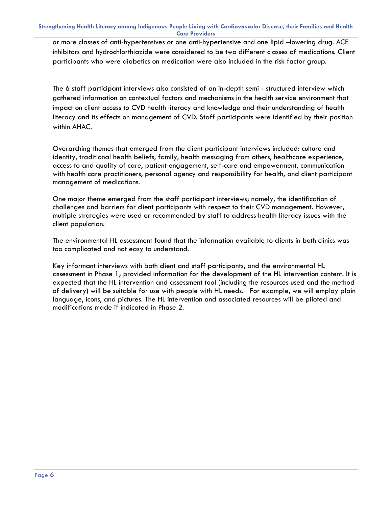or more classes of anti-hypertensives or one anti-hypertensive and one lipid –lowering drug. ACE inhibitors and hydrochlorthiazide were considered to be two different classes of medications. Client participants who were diabetics on medication were also included in the risk factor group.

The 6 staff participant interviews also consisted of an in-depth semi - structured interview which gathered information on contextual factors and mechanisms in the health service environment that impact on client access to CVD health literacy and knowledge and their understanding of health literacy and its effects on management of CVD. Staff participants were identified by their position within AHAC.

Overarching themes that emerged from the client participant interviews included: culture and identity, traditional health beliefs, family, health messaging from others, healthcare experience, access to and quality of care, patient engagement, self-care and empowerment, communication with health care practitioners, personal agency and responsibility for health, and client participant management of medications.

One major theme emerged from the staff participant interviews; namely, the identification of challenges and barriers for client participants with respect to their CVD management. However, multiple strategies were used or recommended by staff to address health literacy issues with the client population.

The environmental HL assessment found that the information available to clients in both clinics was too complicated and not easy to understand.

Key informant interviews with both client and staff participants, and the environmental HL assessment in Phase 1; provided information for the development of the HL intervention content. It is expected that the HL intervention and assessment tool (including the resources used and the method of delivery) will be suitable for use with people with HL needs. For example, we will employ plain language, icons, and pictures. The HL intervention and associated resources will be piloted and modifications made if indicated in Phase 2.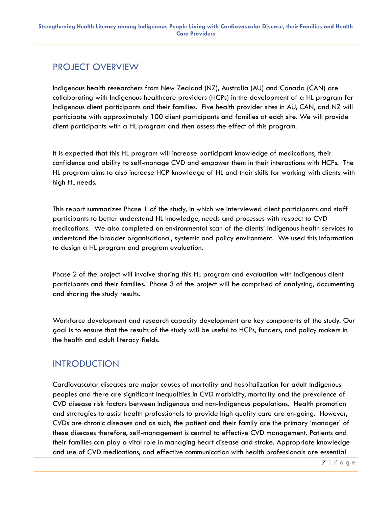### <span id="page-6-0"></span>PROJECT OVERVIEW

Indigenous health researchers from New Zealand (NZ), Australia (AU) and Canada (CAN) are collaborating with Indigenous healthcare providers (HCPs) in the development of a HL program for Indigenous client participants and their families. Five health provider sites in AU, CAN, and NZ will participate with approximately 100 client participants and families at each site. We will provide client participants with a HL program and then assess the effect of this program.

It is expected that this HL program will increase participant knowledge of medications, their confidence and ability to self-manage CVD and empower them in their interactions with HCPs. The HL program aims to also increase HCP knowledge of HL and their skills for working with clients with high HL needs.

This report summarizes Phase 1 of the study, in which we interviewed client participants and staff participants to better understand HL knowledge, needs and processes with respect to CVD medications. We also completed an environmental scan of the clients' Indigenous health services to understand the broader organisational, systemic and policy environment. We used this information to design a HL program and program evaluation.

Phase 2 of the project will involve sharing this HL program and evaluation with Indigenous client participants and their families. Phase 3 of the project will be comprised of analysing, documenting and sharing the study results.

Workforce development and research capacity development are key components of the study. Our goal is to ensure that the results of the study will be useful to HCPs, funders, and policy makers in the health and adult literacy fields.

### <span id="page-6-1"></span>INTRODUCTION

Cardiovascular diseases are major causes of mortality and hospitalization for adult Indigenous peoples and there are significant inequalities in CVD morbidity, mortality and the prevalence of CVD disease risk factors between Indigenous and non-Indigenous populations. Health promotion and strategies to assist health professionals to provide high quality care are on-going. However, CVDs are chronic diseases and as such, the patient and their family are the primary 'manager' of these diseases therefore, self-management is central to effective CVD management. Patients and their families can play a vital role in managing heart disease and stroke. Appropriate knowledge and use of CVD medications, and effective communication with health professionals are essential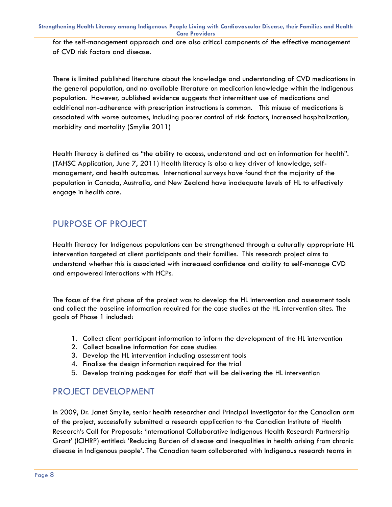for the self-management approach and are also critical components of the effective management of CVD risk factors and disease.

There is limited published literature about the knowledge and understanding of CVD medications in the general population, and no available literature on medication knowledge within the Indigenous population. However, published evidence suggests that intermittent use of medications and additional non-adherence with prescription instructions is common. This misuse of medications is associated with worse outcomes, including poorer control of risk factors, increased hospitalization, morbidity and mortality (Smylie 2011)

Health literacy is defined as "the ability to access, understand and act on information for health". (TAHSC Application, June 7, 2011) Health literacy is also a key driver of knowledge, selfmanagement, and health outcomes. International surveys have found that the majority of the population in Canada, Australia, and New Zealand have inadequate levels of HL to effectively engage in health care.

### <span id="page-7-0"></span>PURPOSE OF PROJECT

Health literacy for Indigenous populations can be strengthened through a culturally appropriate HL intervention targeted at client participants and their families. This research project aims to understand whether this is associated with increased confidence and ability to self-manage CVD and empowered interactions with HCPs.

The focus of the first phase of the project was to develop the HL intervention and assessment tools and collect the baseline information required for the case studies at the HL intervention sites. The goals of Phase 1 included:

- 1. Collect client participant information to inform the development of the HL intervention
- 2. Collect baseline information for case studies
- 3. Develop the HL intervention including assessment tools
- 4. Finalize the design information required for the trial
- 5. Develop training packages for staff that will be delivering the HL intervention

### <span id="page-7-1"></span>PROJECT DEVELOPMENT

In 2009, Dr. Janet Smylie, senior health researcher and Principal Investigator for the Canadian arm of the project, successfully submitted a research application to the Canadian Institute of Health Research's Call for Proposals: 'International Collaborative Indigenous Health Research Partnership Grant' (ICIHRP) entitled: 'Reducing Burden of disease and inequalities in health arising from chronic disease in Indigenous people'. The Canadian team collaborated with Indigenous research teams in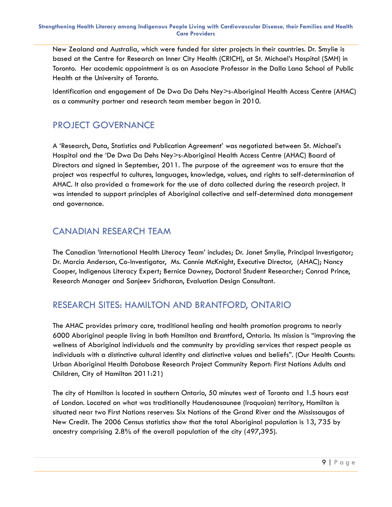New Zealand and Australia, which were funded for sister projects in their countries. Dr. Smylie is based at the Centre for Research on Inner City Health (CRICH), at St. Michael's Hospital (SMH) in Toronto. Her academic appointment is as an Associate Professor in the Dalla Lana School of Public Health at the University of Toronto.

Identification and engagement of De Dwa Da Dehs Ney>s-Aboriginal Health Access Centre (AHAC) as a community partner and research team member began in 2010.

### <span id="page-8-0"></span>PROJECT GOVERNANCE

A 'Research, Data, Statistics and Publication Agreement' was negotiated between St. Michael's Hospital and the 'De Dwa Da Dehs Ney>s-Aboriginal Health Access Centre (AHAC) Board of Directors and signed in September, 2011. The purpose of the agreement was to ensure that the project was respectful to cultures, languages, knowledge, values, and rights to self-determination of AHAC. It also provided a framework for the use of data collected during the research project. It was intended to support principles of Aboriginal collective and self-determined data management and governance.

### <span id="page-8-1"></span>CANADIAN RESEARCH TEAM

The Canadian 'International Health Literacy Team' includes; Dr. Janet Smylie, Principal Investigator; Dr. Marcia Anderson, Co-Investigator, Ms. Connie McKnight, Executive Director, (AHAC); Nancy Cooper, Indigenous Literacy Expert; Bernice Downey, Doctoral Student Researcher; Conrad Prince, Research Manager and Sanjeev Sridharan, Evaluation Design Consultant.

### <span id="page-8-2"></span>RESEARCH SITES: HAMILTON AND BRANTFORD, ONTARIO

The AHAC provides primary care, traditional healing and health promotion programs to nearly 6000 Aboriginal people living in both Hamilton and Brantford, Ontario. Its mission is "improving the wellness of Aboriginal individuals and the community by providing services that respect people as individuals with a distinctive cultural identity and distinctive values and beliefs". (Our Health Counts: Urban Aboriginal Health Database Research Project Community Report: First Nations Adults and Children, City of Hamilton 2011:21)

The city of Hamilton is located in southern Ontario, 50 minutes west of Toronto and 1.5 hours east of London. Located on what was traditionally Haudenosaunee (Iroquoian) territory, Hamilton is situated near two First Nations reserves: Six Nations of the Grand River and the Mississaugas of New Credit. The 2006 Census statistics show that the total Aboriginal population is 13, 735 by ancestry comprising 2.8% of the overall population of the city (497,395).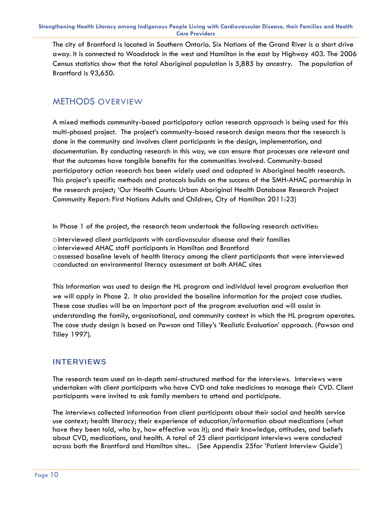The city of Brantford is located in Southern Ontario. Six Nations of the Grand River is a short drive away. It is connected to Woodstock in the west and Hamilton in the east by Highway 403. The 2006 Census statistics show that the total Aboriginal population is 5,885 by ancestry. The population of Brantford is 93,650.

### <span id="page-9-0"></span>METHODS OVERVIEW

A mixed methods community-based participatory action research approach is being used for this multi-phased project. The project's community-based research design means that the research is done in the community and involves client participants in the design, implementation, and documentation. By conducting research in this way, we can ensure that processes are relevant and that the outcomes have tangible benefits for the communities involved. Community-based participatory action research has been widely used and adapted in Aboriginal health research. This project's specific methods and protocols builds on the success of the SMH-AHAC partnership in the research project; 'Our Health Counts: Urban Aboriginal Health Database Research Project Community Report: First Nations Adults and Children, City of Hamilton 2011:23)

In Phase 1 of the project, the research team undertook the following research activities:

ointerviewed client participants with cardiovascular disease and their families ointerviewed AHAC staff participants in Hamilton and Brantford oassessed baseline levels of health literacy among the client participants that were interviewed oconducted an environmental literacy assessment at both AHAC sites

This information was used to design the HL program and individual level program evaluation that we will apply in Phase 2. It also provided the baseline information for the project case studies. These case studies will be an important part of the program evaluation and will assist in understanding the family, organisational, and community context in which the HL program operates. The case study design is based on Pawson and Tilley's 'Realistic Evaluation' approach. (Pawson and Tilley 1997).

### <span id="page-9-1"></span>**INTERVIEWS**

The research team used an in-depth semi-structured method for the interviews. Interviews were undertaken with client participants who have CVD and take medicines to manage their CVD. Client participants were invited to ask family members to attend and participate.

The interviews collected information from client participants about their social and health service use context; health literacy; their experience of education/information about medications (what have they been told, who by, how effective was it); and their knowledge, attitudes, and beliefs about CVD, medications, and health. A total of 25 client participant interviews were conducted across both the Brantford and Hamilton sites.. (See Appendix 25for 'Patient Interview Guide')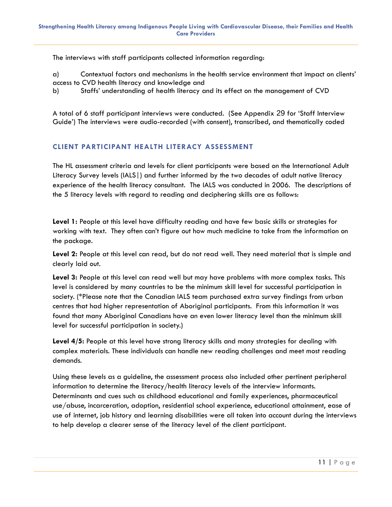The interviews with staff participants collected information regarding:

a) Contextual factors and mechanisms in the health service environment that impact on clients' access to CVD health literacy and knowledge and

b) Staffs' understanding of health literacy and its effect on the management of CVD

A total of 6 staff participant interviews were conducted. (See Appendix 29 for 'Staff Interview Guide') The interviews were audio-recorded (with consent), transcribed, and thematically coded

#### <span id="page-10-0"></span>**CLIENT PARTICIPANT HEALTH LITERACY ASSESSMENT**

The HL assessment criteria and levels for client participants were based on the International Adult Literacy Survey levels (IALS|) and further informed by the two decades of adult native literacy experience of the health literacy consultant. The IALS was conducted in 2006. The descriptions of the 5 literacy levels with regard to reading and deciphering skills are as follows:

**Level 1:** People at this level have difficulty reading and have few basic skills or strategies for working with text. They often can't figure out how much medicine to take from the information on the package.

**Level 2:** People at this level can read, but do not read well. They need material that is simple and clearly laid out.

**Level 3:** People at this level can read well but may have problems with more complex tasks. This level is considered by many countries to be the minimum skill level for successful participation in society. (\*Please note that the Canadian IALS team purchased extra survey findings from urban centres that had higher representation of Aboriginal participants. From this information it was found that many Aboriginal Canadians have an even lower literacy level than the minimum skill level for successful participation in society.)

**Level 4/5:** People at this level have strong literacy skills and many strategies for dealing with complex materials. These individuals can handle new reading challenges and meet most reading demands.

Using these levels as a guideline, the assessment process also included other pertinent peripheral information to determine the literacy/health literacy levels of the interview informants. Determinants and cues such as childhood educational and family experiences, pharmaceutical use/abuse, incarceration, adoption, residential school experience, educational attainment, ease of use of internet, job history and learning disabilities were all taken into account during the interviews to help develop a clearer sense of the literacy level of the client participant.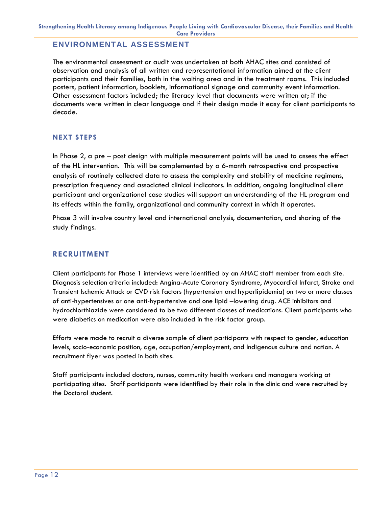#### <span id="page-11-0"></span>**ENVIRONMENTAL ASSESSMENT**

The environmental assessment or audit was undertaken at both AHAC sites and consisted of observation and analysis of all written and representational information aimed at the client participants and their families, both in the waiting area and in the treatment rooms. This included posters, patient information, booklets, informational signage and community event information. Other assessment factors included; the literacy level that documents were written at; if the documents were written in clear language and if their design made it easy for client participants to decode.

#### <span id="page-11-1"></span>**NEXT STEPS**

In Phase 2, a pre – post design with multiple measurement points will be used to assess the effect of the HL intervention. This will be complemented by a 6-month retrospective and prospective analysis of routinely collected data to assess the complexity and stability of medicine regimens, prescription frequency and associated clinical indicators. In addition, ongoing longitudinal client participant and organizational case studies will support an understanding of the HL program and its effects within the family, organizational and community context in which it operates.

Phase 3 will involve country level and international analysis, documentation, and sharing of the study findings.

#### <span id="page-11-2"></span>**RECRUITMENT**

Client participants for Phase 1 interviews were identified by an AHAC staff member from each site. Diagnosis selection criteria included: Angina-Acute Coronary Syndrome, Myocardial Infarct, Stroke and Transient Ischemic Attack or CVD risk factors (hypertension and hyperlipidemia) on two or more classes of anti-hypertensives or one anti-hypertensive and one lipid –lowering drug. ACE inhibitors and hydrochlorthiazide were considered to be two different classes of medications. Client participants who were diabetics on medication were also included in the risk factor group.

Efforts were made to recruit a diverse sample of client participants with respect to gender, education levels, socio-economic position, age, occupation/employment, and Indigenous culture and nation. A recruitment flyer was posted in both sites.

<span id="page-11-3"></span>Staff participants included doctors, nurses, community health workers and managers working at participating sites. Staff participants were identified by their role in the clinic and were recruited by the Doctoral student.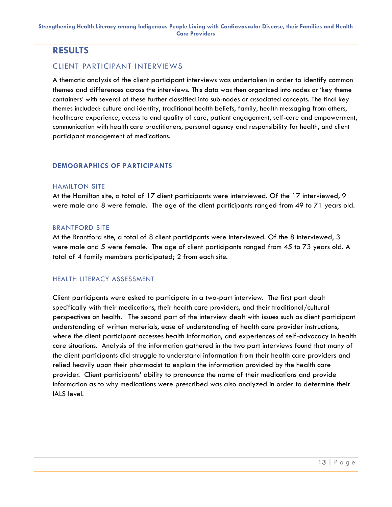### **RESULTS**

#### <span id="page-12-0"></span>CLIENT PARTICIPANT INTERVIEWS

A thematic analysis of the client participant interviews was undertaken in order to identify common themes and differences across the interviews. This data was then organized into nodes or 'key theme containers' with several of these further classified into sub-nodes or associated concepts. The final key themes included: culture and identity, traditional health beliefs, family, health messaging from others, healthcare experience, access to and quality of care, patient engagement, self-care and empowerment, communication with health care practitioners, personal agency and responsibility for health, and client participant management of medications.

#### <span id="page-12-1"></span>**DEMOGRAPHICS OF PARTICIPANTS**

#### <span id="page-12-2"></span>HAMILTON SITE

At the Hamilton site, a total of 17 client participants were interviewed. Of the 17 interviewed, 9 were male and 8 were female. The age of the client participants ranged from 49 to 71 years old.

#### <span id="page-12-3"></span>BRANTFORD SITE

At the Brantford site, a total of 8 client participants were interviewed. Of the 8 interviewed, 3 were male and 5 were female. The age of client participants ranged from 45 to 73 years old. A total of 4 family members participated; 2 from each site.

#### <span id="page-12-4"></span>HEALTH LITERACY ASSESSMENT

Client participants were asked to participate in a two-part interview. The first part dealt specifically with their medications, their health care providers, and their traditional/cultural perspectives on health. The second part of the interview dealt with issues such as client participant understanding of written materials, ease of understanding of health care provider instructions, where the client participant accesses health information, and experiences of self-advocacy in health care situations. Analysis of the information gathered in the two part interviews found that many of the client participants did struggle to understand information from their health care providers and relied heavily upon their pharmacist to explain the information provided by the health care provider. Client participants' ability to pronounce the name of their medications and provide information as to why medications were prescribed was also analyzed in order to determine their IALS level.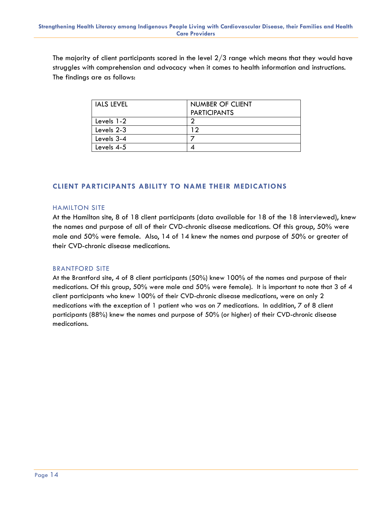The majority of client participants scored in the level 2/3 range which means that they would have struggles with comprehension and advocacy when it comes to health information and instructions. The findings are as follows:

| IALS LEVEL | NUMBER OF CLIENT    |
|------------|---------------------|
|            | <b>PARTICIPANTS</b> |
| Levels 1-2 | ◠                   |
| Levels 2-3 | ാ                   |
| Levels 3-4 |                     |
| Levels 4-5 |                     |

#### <span id="page-13-0"></span>**CLIENT PARTICIPANTS ABILITY TO NAME THEIR MEDICATIONS**

#### <span id="page-13-1"></span>HAMILTON SITE

At the Hamilton site, 8 of 18 client participants (data available for 18 of the 18 interviewed), knew the names and purpose of all of their CVD-chronic disease medications. Of this group, 50% were male and 50% were female. Also, 14 of 14 knew the names and purpose of 50% or greater of their CVD-chronic disease medications.

#### <span id="page-13-2"></span>BRANTFORD SITE

At the Brantford site, 4 of 8 client participants (50%) knew 100% of the names and purpose of their medications. Of this group, 50% were male and 50% were female). It is important to note that 3 of 4 client participants who knew 100% of their CVD-chronic disease medications, were on only 2 medications with the exception of 1 patient who was on 7 medications. In addition, 7 of 8 client participants (88%) knew the names and purpose of 50% (or higher) of their CVD-chronic disease medications.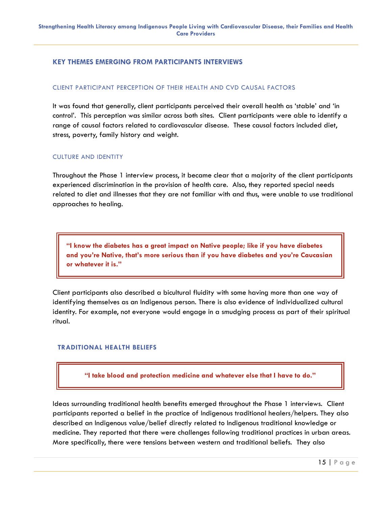#### <span id="page-14-0"></span>**KEY THEMES EMERGING FROM PARTICIPANTS INTERVIEWS**

#### <span id="page-14-1"></span>CLIENT PARTICIPANT PERCEPTION OF THEIR HEALTH AND CVD CAUSAL FACTORS

It was found that generally, client participants perceived their overall health as 'stable' and 'in control'. This perception was similar across both sites. Client participants were able to identify a range of causal factors related to cardiovascular disease. These causal factors included diet, stress, poverty, family history and weight.

#### <span id="page-14-2"></span>CULTURE AND IDENTITY

Throughout the Phase 1 interview process, it became clear that a majority of the client participants experienced discrimination in the provision of health care. Also, they reported special needs related to diet and illnesses that they are not familiar with and thus, were unable to use traditional approaches to healing.

**"I know the diabetes has a great impact on Native people; like if you have diabetes and you're Native, that's more serious than if you have diabetes and you're Caucasian or whatever it is."**

Client participants also described a bicultural fluidity with some having more than one way of identifying themselves as an Indigenous person. There is also evidence of individualized cultural identity. For example, not everyone would engage in a smudging process as part of their spiritual ritual.

#### <span id="page-14-3"></span>**TRADITIONAL HEALTH BELIEFS**

**"I take blood and protection medicine and whatever else that I have to do."**

Ideas surrounding traditional health benefits emerged throughout the Phase 1 interviews. Client participants reported a belief in the practice of Indigenous traditional healers/helpers. They also described an Indigenous value/belief directly related to Indigenous traditional knowledge or medicine. They reported that there were challenges following traditional practices in urban areas. More specifically, there were tensions between western and traditional beliefs. They also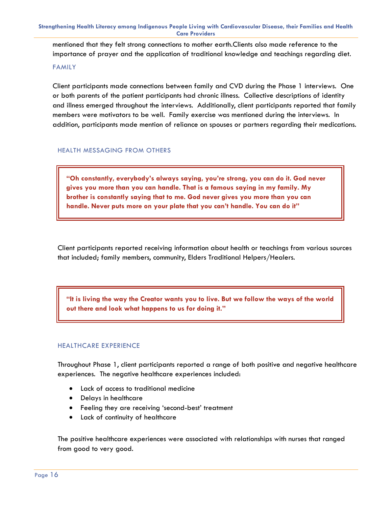**Strengthening Health Literacy among Indigenous People Living with Cardiovascular Disease, their Families and Health Care Providers**

mentioned that they felt strong connections to mother earth.Clients also made reference to the importance of prayer and the application of traditional knowledge and teachings regarding diet.

#### <span id="page-15-0"></span>FAMILY

Client participants made connections between family and CVD during the Phase 1 interviews. One or both parents of the patient participants had chronic illness. Collective descriptions of identity and illness emerged throughout the interviews. Additionally, client participants reported that family members were motivators to be well. Family exercise was mentioned during the interviews. In addition, participants made mention of reliance on spouses or partners regarding their medications.

#### <span id="page-15-1"></span>HEALTH MESSAGING FROM OTHERS

**"Oh constantly, everybody's always saying, you're strong, you can do it. God never gives you more than you can handle. That is a famous saying in my family. My brother is constantly saying that to me. God never gives you more than you can handle. Never puts more on your plate that you can't handle. You can do it"**

Client participants reported receiving information about health or teachings from various sources that included; family members, community, Elders Traditional Helpers/Healers.

**"It is living the way the Creator wants you to live. But we follow the ways of the world out there and look what happens to us for doing it."**

#### <span id="page-15-2"></span>HEALTHCARE EXPERIENCE

Throughout Phase 1, client participants reported a range of both positive and negative healthcare experiences. The negative healthcare experiences included:

- Lack of access to traditional medicine
- Delays in healthcare
- Feeling they are receiving 'second-best' treatment
- Lack of continuity of healthcare

The positive healthcare experiences were associated with relationships with nurses that ranged from good to very good.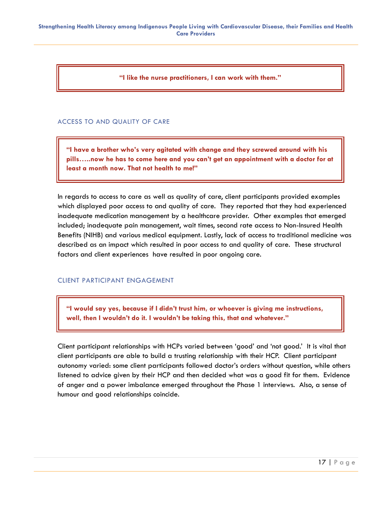**"I like the nurse practitioners, I can work with them."**

#### <span id="page-16-0"></span>ACCESS TO AND QUALITY OF CARE

**"I have a brother who's very agitated with change and they screwed around with his pills…..now he has to come here and you can't get an appointment with a doctor for at least a month now. That not health to me!"**

In regards to access to care as well as quality of care, client participants provided examples which displayed poor access to and quality of care. They reported that they had experienced inadequate medication management by a healthcare provider. Other examples that emerged included; inadequate pain management, wait times, second rate access to Non-Insured Health Benefits (NIHB) and various medical equipment. Lastly, lack of access to traditional medicine was described as an impact which resulted in poor access to and quality of care. These structural factors and client experiences have resulted in poor ongoing care.

#### <span id="page-16-1"></span>CLIENT PARTICIPANT ENGAGEMENT

**"I would say yes, because if I didn't trust him, or whoever is giving me instructions, well, then I wouldn't do it. I wouldn't be taking this, that and whatever."**

<span id="page-16-2"></span>Client participant relationships with HCPs varied between 'good' and 'not good.' It is vital that client participants are able to build a trusting relationship with their HCP. Client participant autonomy varied: some client participants followed doctor's orders without question, while others listened to advice given by their HCP and then decided what was a good fit for them. Evidence of anger and a power imbalance emerged throughout the Phase 1 interviews. Also, a sense of humour and good relationships coincide.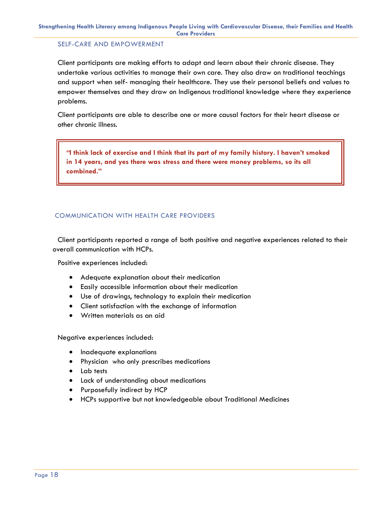#### SELF-CARE AND EMPOWERMENT

Client participants are making efforts to adapt and learn about their chronic disease. They undertake various activities to manage their own care. They also draw on traditional teachings and support when self- managing their healthcare. They use their personal beliefs and values to empower themselves and they draw on Indigenous traditional knowledge where they experience problems.

Client participants are able to describe one or more causal factors for their heart disease or other chronic illness.

*"***I think lack of exercise and I think that its part of my family history. I haven't smoked in 14 years, and yes there was stress and there were money problems, so its all combined."**

#### <span id="page-17-0"></span>COMMUNICATION WITH HEALTH CARE PROVIDERS

Client participants reported a range of both positive and negative experiences related to their overall communication with HCPs.

Positive experiences included:

- Adequate explanation about their medication
- Easily accessible information about their medication
- Use of drawings, technology to explain their medication
- Client satisfaction with the exchange of information
- Written materials as an aid

Negative experiences included:

- Inadequate explanations
- Physician who only prescribes medications
- Lab tests
- Lack of understanding about medications
- Purposefully indirect by HCP
- <span id="page-17-1"></span>HCPs supportive but not knowledgeable about Traditional Medicines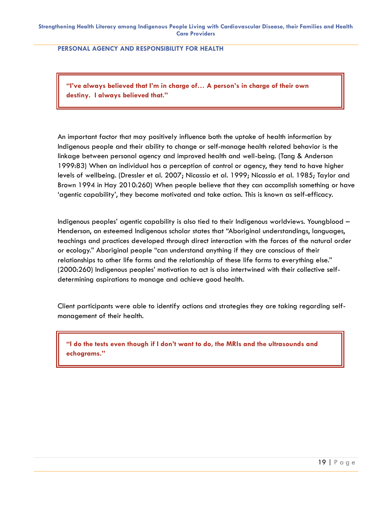**PERSONAL AGENCY AND RESPONSIBILITY FOR HEALTH**

**"I've always believed that I'm in charge of… A person's in charge of their own destiny. I always believed that."**

An important factor that may positively influence both the uptake of health information by Indigenous people and their ability to change or self-manage health related behavior is the linkage between personal agency and improved health and well-being. (Tang & Anderson 1999:83) When an individual has a perception of control or agency, they tend to have higher levels of wellbeing. (Dressler et al. 2007; Nicassio et al. 1999; Nicassio et al. 1985; Taylor and Brown 1994 in Hay 2010:260) When people believe that they can accomplish something or have 'agentic capability', they become motivated and take action. This is known as self-efficacy.

Indigenous peoples' agentic capability is also tied to their Indigenous worldviews. Youngblood – Henderson, an esteemed Indigenous scholar states that "Aboriginal understandings, languages, teachings and practices developed through direct interaction with the forces of the natural order or ecology." Aboriginal people "can understand anything if they are conscious of their relationships to other life forms and the relationship of these life forms to everything else." (2000:260) Indigenous peoples' motivation to act is also intertwined with their collective selfdetermining aspirations to manage and achieve good health.

Client participants were able to identify actions and strategies they are taking regarding selfmanagement of their health.

<span id="page-18-0"></span>**"I do the tests even though if I don't want to do, the MRIs and the ultrasounds and echograms."**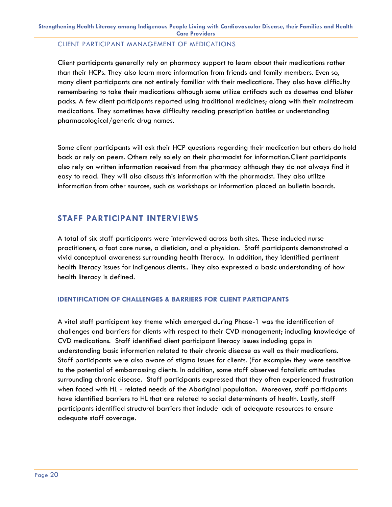#### CLIENT PARTICIPANT MANAGEMENT OF MEDICATIONS

Client participants generally rely on pharmacy support to learn about their medications rather than their HCPs. They also learn more information from friends and family members. Even so, many client participants are not entirely familiar with their medications. They also have difficulty remembering to take their medications although some utilize artifacts such as dosettes and blister packs. A few client participants reported using traditional medicines; along with their mainstream medications. They sometimes have difficulty reading prescription bottles or understanding pharmacological/generic drug names.

Some client participants will ask their HCP questions regarding their medication but others do hold back or rely on peers. Others rely solely on their pharmacist for information.Client participants also rely on written information received from the pharmacy although they do not always find it easy to read. They will also discuss this information with the pharmacist. They also utilize information from other sources, such as workshops or information placed on bulletin boards.

#### <span id="page-19-0"></span>**STAFF PARTICIPANT INTERVIEWS**

A total of six staff participants were interviewed across both sites. These included nurse practitioners, a foot care nurse, a dietician, and a physician. Staff participants demonstrated a vivid conceptual awareness surrounding health literacy. In addition, they identified pertinent health literacy issues for Indigenous clients.. They also expressed a basic understanding of how health literacy is defined.

#### **IDENTIFICATION OF CHALLENGES & BARRIERS FOR CLIENT PARTICIPANTS**

<span id="page-19-1"></span>A vital staff participant key theme which emerged during Phase-1 was the identification of challenges and barriers for clients with respect to their CVD management; including knowledge of CVD medications. Staff identified client participant literacy issues including gaps in understanding basic information related to their chronic disease as well as their medications. Staff participants were also aware of stigma issues for clients. (For example: they were sensitive to the potential of embarrassing clients. In addition, some staff observed fatalistic attitudes surrounding chronic disease. Staff participants expressed that they often experienced frustration when faced with HL - related needs of the Aboriginal population. Moreover, staff participants have identified barriers to HL that are related to social determinants of health. Lastly, staff participants identified structural barriers that include lack of adequate resources to ensure adequate staff coverage.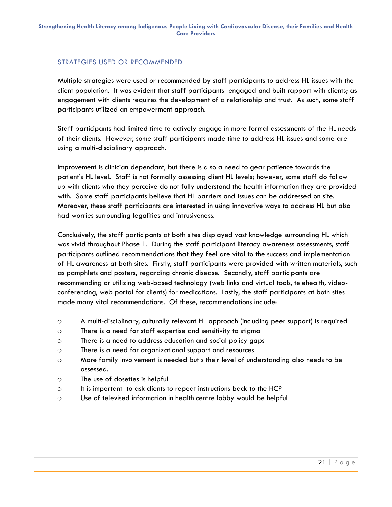#### STRATEGIES USED OR RECOMMENDED

Multiple strategies were used or recommended by staff participants to address HL issues with the client population. It was evident that staff participants engaged and built rapport with clients; as engagement with clients requires the development of a relationship and trust. As such, some staff participants utilized an empowerment approach.

Staff participants had limited time to actively engage in more formal assessments of the HL needs of their clients. However, some staff participants made time to address HL issues and some are using a multi-disciplinary approach.

Improvement is clinician dependant, but there is also a need to gear patience towards the patient's HL level. Staff is not formally assessing client HL levels; however, some staff do follow up with clients who they perceive do not fully understand the health information they are provided with. Some staff participants believe that HL barriers and issues can be addressed on site. Moreover, these staff participants are interested in using innovative ways to address HL but also had worries surrounding legalities and intrusiveness.

Conclusively, the staff participants at both sites displayed vast knowledge surrounding HL which was vivid throughout Phase 1. During the staff participant literacy awareness assessments, staff participants outlined recommendations that they feel are vital to the success and implementation of HL awareness at both sites. Firstly, staff participants were provided with written materials, such as pamphlets and posters, regarding chronic disease. Secondly, staff participants are recommending or utilizing web-based technology (web links and virtual tools, telehealth, videoconferencing, web portal for clients) for medications. Lastly, the staff participants at both sites made many vital recommendations. Of these, recommendations include:

- o A multi-disciplinary, culturally relevant HL approach (including peer support) is required
- o There is a need for staff expertise and sensitivity to stigma
- o There is a need to address education and social policy gaps
- o There is a need for organizational support and resources
- o More family involvement is needed but s their level of understanding also needs to be assessed.
- o The use of dosettes is helpful
- $\circ$  It is important to ask clients to repeat instructions back to the HCP
- o Use of televised information in health centre lobby would be helpful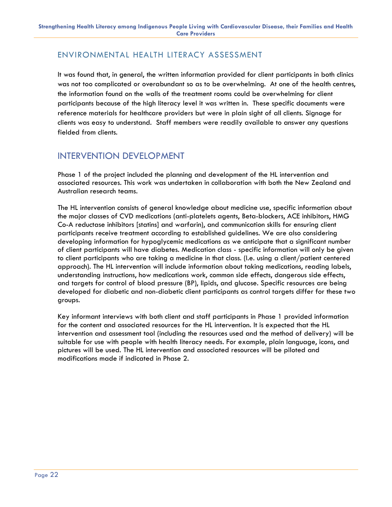### <span id="page-21-0"></span>ENVIRONMENTAL HEALTH LITERACY ASSESSMENT

It was found that, in general, the written information provided for client participants in both clinics was not too complicated or overabundant so as to be overwhelming. At one of the health centres, the information found on the walls of the treatment rooms could be overwhelming for client participants because of the high literacy level it was written in. These specific documents were reference materials for healthcare providers but were in plain sight of all clients. Signage for clients was easy to understand. Staff members were readily available to answer any questions fielded from clients.

### <span id="page-21-1"></span>INTERVENTION DEVELOPMENT

Phase 1 of the project included the planning and development of the HL intervention and associated resources. This work was undertaken in collaboration with both the New Zealand and Australian research teams.

The HL intervention consists of general knowledge about medicine use, specific information about the major classes of CVD medications (anti-platelets agents, Beta-blockers, ACE inhibitors, HMG Co-A reductase inhibitors [statins] and warfarin), and communication skills for ensuring client participants receive treatment according to established guidelines. We are also considering developing information for hypoglycemic medications as we anticipate that a significant number of client participants will have diabetes. Medication class - specific information will only be given to client participants who are taking a medicine in that class. (I.e. using a client/patient centered approach). The HL intervention will include information about taking medications, reading labels, understanding instructions, how medications work, common side effects, dangerous side effects, and targets for control of blood pressure (BP), lipids, and glucose. Specific resources are being developed for diabetic and non-diabetic client participants as control targets differ for these two groups.

Key informant interviews with both client and staff participants in Phase 1 provided information for the content and associated resources for the HL intervention. It is expected that the HL intervention and assessment tool (including the resources used and the method of delivery) will be suitable for use with people with health literacy needs. For example, plain language, icons, and pictures will be used. The HL intervention and associated resources will be piloted and modifications made if indicated in Phase 2.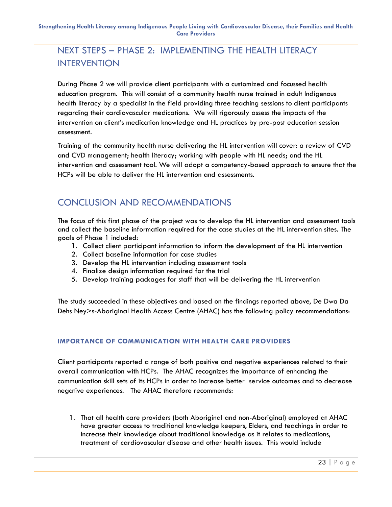### <span id="page-22-0"></span>NEXT STEPS – PHASE 2: IMPLEMENTING THE HEALTH LITERACY INTERVENTION

During Phase 2 we will provide client participants with a customized and focussed health education program. This will consist of a community health nurse trained in adult Indigenous health literacy by a specialist in the field providing three teaching sessions to client participants regarding their cardiovascular medications. We will rigorously assess the impacts of the intervention on client's medication knowledge and HL practices by pre-post education session assessment.

Training of the community health nurse delivering the HL intervention will cover: a review of CVD and CVD management; health literacy; working with people with HL needs; and the HL intervention and assessment tool. We will adopt a competency-based approach to ensure that the HCPs will be able to deliver the HL intervention and assessments.

### <span id="page-22-1"></span>CONCLUSION AND RECOMMENDATIONS

The focus of this first phase of the project was to develop the HL intervention and assessment tools and collect the baseline information required for the case studies at the HL intervention sites. The goals of Phase 1 included:

- 1. Collect client participant information to inform the development of the HL intervention
- 2. Collect baseline information for case studies
- 3. Develop the HL intervention including assessment tools
- 4. Finalize design information required for the trial
- 5. Develop training packages for staff that will be delivering the HL intervention

The study succeeded in these objectives and based on the findings reported above, De Dwa Da Dehs Ney>s-Aboriginal Health Access Centre (AHAC) has the following policy recommendations:

#### <span id="page-22-2"></span>**IMPORTANCE OF COMMUNICATION WITH HEALTH CARE PROVIDERS**

Client participants reported a range of both positive and negative experiences related to their overall communication with HCPs. The AHAC recognizes the importance of enhancing the communication skill sets of its HCPs in order to increase better service outcomes and to decrease negative experiences. The AHAC therefore recommends:

1. That all health care providers (both Aboriginal and non-Aboriginal) employed at AHAC have greater access to traditional knowledge keepers, Elders, and teachings in order to increase their knowledge about traditional knowledge as it relates to medications, treatment of cardiovascular disease and other health issues. This would include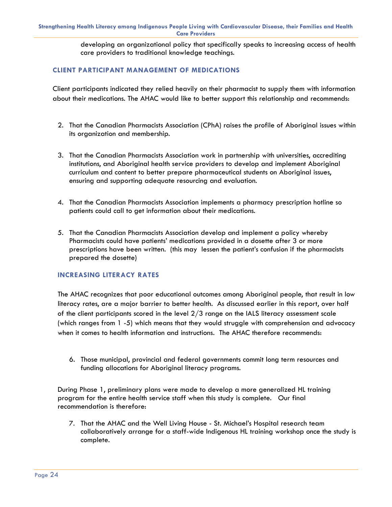developing an organizational policy that specifically speaks to increasing access of health care providers to traditional knowledge teachings.

#### <span id="page-23-0"></span>**CLIENT PARTICIPANT MANAGEMENT OF MEDICATIONS**

Client participants indicated they relied heavily on their pharmacist to supply them with information about their medications. The AHAC would like to better support this relationship and recommends:

- 2. That the Canadian Pharmacists Association (CPhA) raises the profile of Aboriginal issues within its organization and membership.
- 3. That the Canadian Pharmacists Association work in partnership with universities, accrediting institutions, and Aboriginal health service providers to develop and implement Aboriginal curriculum and content to better prepare pharmaceutical students on Aboriginal issues, ensuring and supporting adequate resourcing and evaluation.
- 4. That the Canadian Pharmacists Association implements a pharmacy prescription hotline so patients could call to get information about their medications.
- 5. That the Canadian Pharmacists Association develop and implement a policy whereby Pharmacists could have patients' medications provided in a dosette after 3 or more prescriptions have been written. (this may lessen the patient's confusion if the pharmacists prepared the dosette)

#### <span id="page-23-1"></span>**INCREASING LITERACY RATES**

The AHAC recognizes that poor educational outcomes among Aboriginal people, that result in low literacy rates, are a major barrier to better health. As discussed earlier in this report, over half of the client participants scored in the level  $2/3$  range on the IALS literacy assessment scale (which ranges from 1 -5) which means that they would struggle with comprehension and advocacy when it comes to health information and instructions. The AHAC therefore recommends:

6. Those municipal, provincial and federal governments commit long term resources and funding allocations for Aboriginal literacy programs.

During Phase 1, preliminary plans were made to develop a more generalized HL training program for the entire health service staff when this study is complete. Our final recommendation is therefore:

<span id="page-23-2"></span>7. That the AHAC and the Well Living House - St. Michael's Hospital research team collaboratively arrange for a staff-wide Indigenous HL training workshop once the study is complete.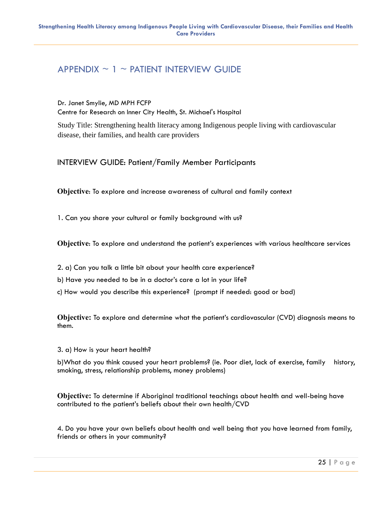### $APPENDIX \sim 1 \sim$  PATIENT INTERVIEW GUIDE

Dr. Janet Smylie, MD MPH FCFP Centre for Research on Inner City Health, St. Michael's Hospital

Study Title: Strengthening health literacy among Indigenous people living with cardiovascular disease, their families, and health care providers

INTERVIEW GUIDE: Patient/Family Member Participants

**Objective**: To explore and increase awareness of cultural and family context

1. Can you share your cultural or family background with us?

**Objective**: To explore and understand the patient's experiences with various healthcare services

- 2. a) Can you talk a little bit about your health care experience?
- b) Have you needed to be in a doctor's care a lot in your life?
- c) How would you describe this experience? (prompt if needed: good or bad)

**Objective:** To explore and determine what the patient's cardiovascular (CVD) diagnosis means to them.

3. a) How is your heart health?

b)What do you think caused your heart problems? (ie. Poor diet, lack of exercise, family history, smoking, stress, relationship problems, money problems)

**Objective:** To determine if Aboriginal traditional teachings about health and well-being have contributed to the patient's beliefs about their own health/CVD

4. Do you have your own beliefs about health and well being that you have learned from family, friends or others in your community?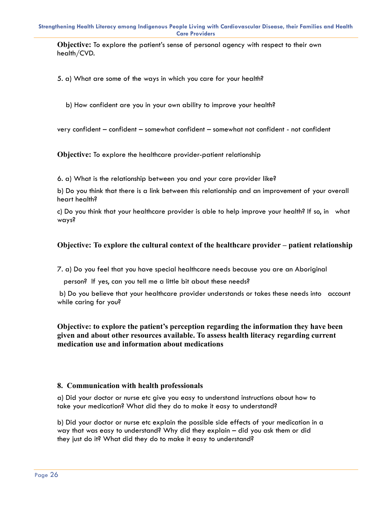**Objective:** To explore the patient's sense of personal agency with respect to their own health/CVD.

5. a) What are some of the ways in which you care for your health?

b) How confident are you in your own ability to improve your health?

very confident – confident – somewhat confident – somewhat not confident - not confident

**Objective:** To explore the healthcare provider-patient relationship

6. a) What is the relationship between you and your care provider like?

b) Do you think that there is a link between this relationship and an improvement of your overall heart health?

c) Do you think that your healthcare provider is able to help improve your health? If so, in what ways?

#### **Objective: To explore the cultural context of the healthcare provider – patient relationship**

7. a) Do you feel that you have special healthcare needs because you are an Aboriginal

person? If yes, can you tell me a little bit about these needs?

b) Do you believe that your healthcare provider understands or takes these needs into account while caring for you?

**Objective: to explore the patient's perception regarding the information they have been given and about other resources available. To assess health literacy regarding current medication use and information about medications**

#### **8. Communication with health professionals**

a) Did your doctor or nurse etc give you easy to understand instructions about how to take your medication? What did they do to make it easy to understand?

b) Did your doctor or nurse etc explain the possible side effects of your medication in a way that was easy to understand? Why did they explain – did you ask them or did they just do it? What did they do to make it easy to understand?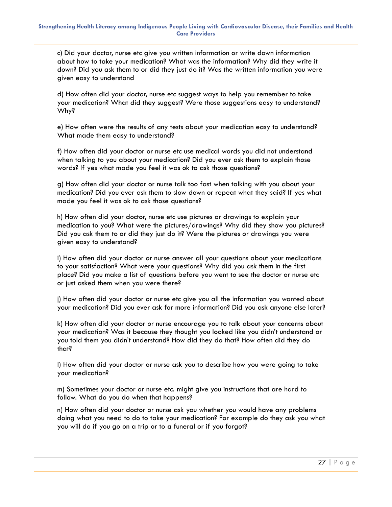c) Did your doctor, nurse etc give you written information or write down information about how to take your medication? What was the information? Why did they write it down? Did you ask them to or did they just do it? Was the written information you were given easy to understand

d) How often did your doctor, nurse etc suggest ways to help you remember to take your medication? What did they suggest? Were those suggestions easy to understand? Why?

e) How often were the results of any tests about your medication easy to understand? What made them easy to understand?

f) How often did your doctor or nurse etc use medical words you did not understand when talking to you about your medication? Did you ever ask them to explain those words? If yes what made you feel it was ok to ask those questions?

g) How often did your doctor or nurse talk too fast when talking with you about your medication? Did you ever ask them to slow down or repeat what they said? If yes what made you feel it was ok to ask those questions?

h) How often did your doctor, nurse etc use pictures or drawings to explain your medication to you? What were the pictures/drawings? Why did they show you pictures? Did you ask them to or did they just do it? Were the pictures or drawings you were given easy to understand?

i) How often did your doctor or nurse answer all your questions about your medications to your satisfaction? What were your questions? Why did you ask them in the first place? Did you make a list of questions before you went to see the doctor or nurse etc or just asked them when you were there?

j) How often did your doctor or nurse etc give you all the information you wanted about your medication? Did you ever ask for more information? Did you ask anyone else later?

k) How often did your doctor or nurse encourage you to talk about your concerns about your medication? Was it because they thought you looked like you didn't understand or you told them you didn't understand? How did they do that? How often did they do that?

l) How often did your doctor or nurse ask you to describe how you were going to take your medication?

m) Sometimes your doctor or nurse etc. might give you instructions that are hard to follow. What do you do when that happens?

n) How often did your doctor or nurse ask you whether you would have any problems doing what you need to do to take your medication? For example do they ask you what you will do if you go on a trip or to a funeral or if you forgot?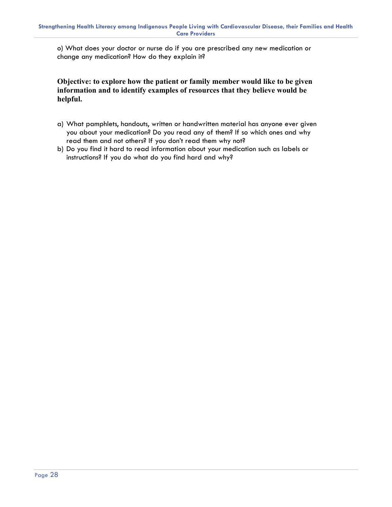o) What does your doctor or nurse do if you are prescribed any new medication or change any medication? How do they explain it?

**Objective: to explore how the patient or family member would like to be given information and to identify examples of resources that they believe would be helpful.** 

- a) What pamphlets, handouts, written or handwritten material has anyone ever given you about your medication? Do you read any of them? If so which ones and why read them and not others? If you don't read them why not?
- b) Do you find it hard to read information about your medication such as labels or instructions? If you do what do you find hard and why?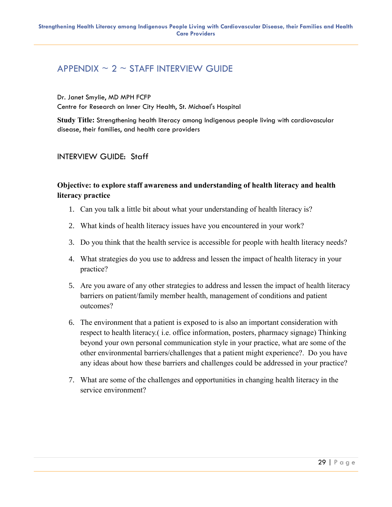### <span id="page-28-0"></span>APPENDIX  $\sim$  2  $\sim$  STAFF INTERVIEW GUIDE

Dr. Janet Smylie, MD MPH FCFP

Centre for Research on Inner City Health, St. Michael's Hospital

**Study Title:** Strengthening health literacy among Indigenous people living with cardiovascular disease, their families, and health care providers

#### INTERVIEW GUIDE: Staff

#### **Objective: to explore staff awareness and understanding of health literacy and health literacy practice**

- 1. Can you talk a little bit about what your understanding of health literacy is?
- 2. What kinds of health literacy issues have you encountered in your work?
- 3. Do you think that the health service is accessible for people with health literacy needs?
- 4. What strategies do you use to address and lessen the impact of health literacy in your practice?
- 5. Are you aware of any other strategies to address and lessen the impact of health literacy barriers on patient/family member health, management of conditions and patient outcomes?
- 6. The environment that a patient is exposed to is also an important consideration with respect to health literacy.( i.e. office information, posters, pharmacy signage) Thinking beyond your own personal communication style in your practice, what are some of the other environmental barriers/challenges that a patient might experience?. Do you have any ideas about how these barriers and challenges could be addressed in your practice?
- 7. What are some of the challenges and opportunities in changing health literacy in the service environment?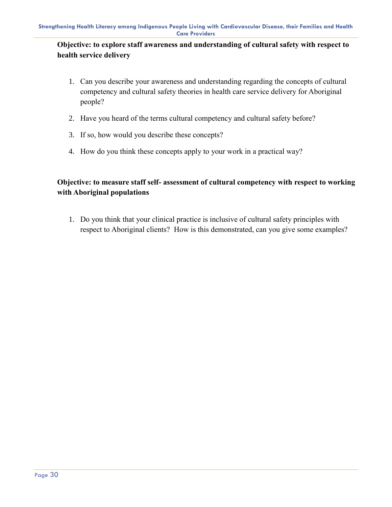#### **Objective: to explore staff awareness and understanding of cultural safety with respect to health service delivery**

- 1. Can you describe your awareness and understanding regarding the concepts of cultural competency and cultural safety theories in health care service delivery for Aboriginal people?
- 2. Have you heard of the terms cultural competency and cultural safety before?
- 3. If so, how would you describe these concepts?
- 4. How do you think these concepts apply to your work in a practical way?

#### **Objective: to measure staff self- assessment of cultural competency with respect to working with Aboriginal populations**

<span id="page-29-0"></span>1. Do you think that your clinical practice is inclusive of cultural safety principles with respect to Aboriginal clients? How is this demonstrated, can you give some examples?